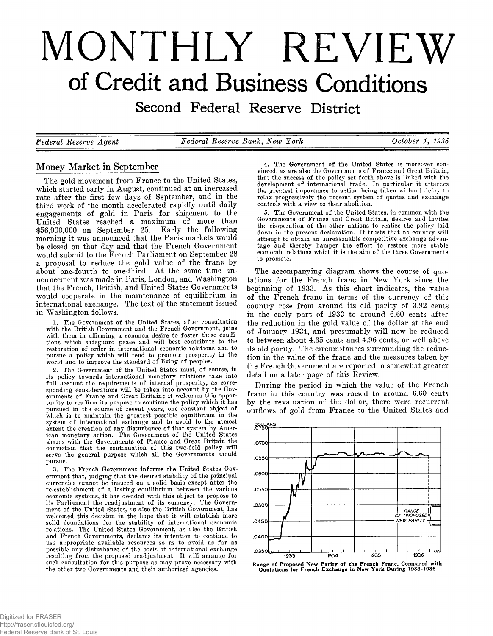# **MONTHLY REVIEW of Credit and Business Conditions**

Second Federal Reserve District

*Federal Reserve Agent* Federal Reserve Bank, New York Cotober 1, 1936

# Money Market in September

The gold movement from France to the United States, which started early in August, continued at an increased rate after the first few days of September, and in the third week of the month accelerated rapidly until daily engagements of gold in Paris for shipment to the United States reached a maximum of more than  $$56,000,000$  on September 25. Early the following morning it was announced that the Paris markets would be closed on that day and that the French Government would submit to the French Parliament on September 28 a proposal to reduce the gold value of the france by about one-fourth to one-third. At the same time announcement was made in Paris, London, and Washington that the French, British, and United States Governments would cooperate in the maintenance of equilibrium in international exchange. The text of the statement issued in Washington follows.

1. The Government of the United States, after consultation with the British Government and the French Government, joins with them in affirming a common desire to foster those conditions which safeguard peace and will best contribute to the restoration of order in international economic relations and to pursue a policy which will tend to promote prosperity in the world and to improve the standard of living of peoples.

2. The Government of the United States must, of course, in its policy towards international monetary relations take into full account the requirements of internal prosperity, as corresponding considerations will be taken into account by the Governments of France and Great Britain; it welcomes this opportunity to reaffirm its purpose to continue the policy which it has pursued in the course of recent years, one constant object of which is to maintain the greatest possible equilibrium in the system of international exchange and to avoid to the utmost extent the creation of any disturbance of that system by American monetary action. The Government of the United States shares with the Governments of France and Great Britain the conviction that the continuation of this two-fold policy will serve the general purpose which all the Governments should pursue.

3. The French Government informs the United States Government that, judging that the desired stability of the principal currencies cannot be insured on a solid basis except after the re-establishment of a lasting equilibrium between the various economic systems, it has decided with this object to propose to its Parliament the readjustment of its currency. The Government of the United States, as also the British Government, has welcomed this decision in the hope that it will establish more solid foundations for the stability of international economic relations. The United States Government, as also the British and French Governments, declares its intention to continue to use appropriate available resources so as to avoid as far as possible any disturbance of the basis of international exchange resulting from the proposed readjustment. It will arrange for such consultation for this purpose as may prove necessary with the other two Governments and their authorized agencies.

4. The Government of the United States is moreover convinced, as are also the Governments of France and Great Britain, that the success of the policy set forth above is linked with the development of international trade. In particular it attaches the greatest importance to action being taken without delay to relax progressively the present system of quotas and exchange controls with a view to their abolition.

5. The Government of the United States, in common with the Governments of France and Great Britain, desires and invites the cooperation of the other nations to realize the policy laid down in the present declaration. It trusts that no country will attempt to obtain an unreasonable competitive exchange advantage and thereby hamper the effort to restore more stable economic relations which it is the aim of the three Governments to promote.

The accompanying diagram shows the course of quotations for the French franc in New York since the beginning of 1933. As this chart indicates, the value of the French franc in terms of the currency of this country rose from around its old parity of 3.92 cents in the early part of  $1933$  to around  $6.60$  cents after the reduction in the gold value of the dollar at the end of January 1934, and presumably will now be reduced to between about 4.35 cents and 4.96 cents, or well above its old parity. The circumstances surrounding the reduction in the value of the franc and the measures taken by the French Government are reported in somewhat greater detail on a later page of this Review.

During the period in which the value of the French franc in this country was raised to around 6.60 cents by the revaluation of the dollar, there were recurrent outflows of gold from France to the United States and



Range of Proposed New Parity of the French Franc, Compared with<br>Quotations for French Exchange in New York During 1933-1936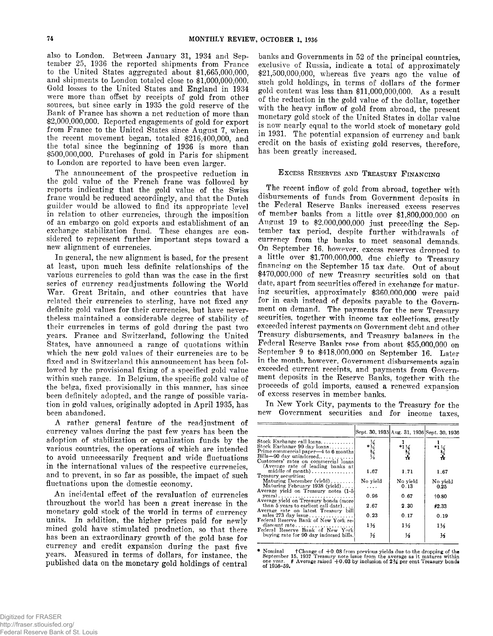also to London. Between January 31, 1934 and September 25, 1936 the reported shipments from France to the United States aggregated about  $$1,665,000,000$ . and shipments to London totaled close to  $$1,000,000,000$ . Gold losses to the United States and England in 1934 were more than offset by receipts of gold from other sources, but since early in 1935 the gold reserve of the Bank of France has shown a net reduction of more than  $$2,000,000,000$ . Reported engagements of gold for export from France to the United States since August 7, when the recent movement began, totaled  $$216,\overline{4}00,000,$  and the total since the beginning of 1936 is more than \$500,000,000. Purchases of gold in Paris for shipment to London are reported to have been even larger.

The announcement of the prospective reduction in the gold value of the French franc was followed by reports indicating that the gold value of the Swiss franc would be reduced accordingly, and that the Dutch guilder would be allowed to find its appropriate level in relation to other currencies, through the imposition of an embargo on gold exports and establishment of an exchange stabilization fund. These changes are considered to represent further important steps toward a new alignment of currencies.

In general, the new alignment is based, for the present at least, upon much less definite relationships of the various currencies to gold than was the case in the first series of currency readjustments following the World War. Great Britain, and other countries that have related their currencies to sterling, have not fixed any definite gold values for their currencies, but have nevertheless maintained a considerable degree of stability of their currencies in terms of gold during the past two years. France and Switzerland, following the United States, have announced a range of quotations within which the new gold values of their currencies are to be fixed and in Switzerland this announcement has been followed by the provisional fixing of a specified gold value within such range. In Belgium, the specific gold value of the belga, fixed provisionally in this manner, has since been definitely adopted, and the range of possible variation in gold values, originally adopted in April 1935, has been abandoned.

A rather general feature of the readjustment of currency values during the past few years has been the adoption of stabilization or equalization funds by the various countries, the operations of which are intended to avoid unnecessarily frequent and wide fluctuations in the international values of the respective currencies, and to prevent, in so far as possible, the impact of such fluctuations upon the domestic economy.

An incidental effect of the revaluation of currencies throughout the world has been a great increase in the monetary gold stock of the world in terms of currency units. In addition, the higher prices paid for newly mined gold have stimulated production, so that there has been an extraordinary growth of the gold base for currency and credit expansion during the past five years. Measured in terms of dollars, for instance, the published data on the monetary gold holdings of central banks and Governments in 52 of the principal countries, exclusive of Russia, indicate a total of approximately  $$21,500,000,000$ , whereas five years ago the value of such gold holdings, in terms of dollars of the former gold content was less than  $$11,000,000,000$ . As a result of the reduction in the gold value of the dollar, together with the heavy inflow of gold from abroad, the present monetary gold stock of the United States in dollar value is now nearly equal to the world stock of monetary gold in 1931. The potential expansion of currency and bank credit on the basis of existing gold reserves, therefore, has been greatly increased.

# EXCESS RESERVES AND TREASURY FINANCING

The recent inflow of gold from abroad, together with disbursements of funds from Government deposits in the Federal Reserve Banks increased excess reserves of member banks from a little over \$1,800,000,000 on August 19 to  $$2.000,000,000$  just preceding the September tax period, despite further withdrawals of currency from the banks to meet seasonal demands. On September 16, however, excess reserves dropped to a little over \$1.700,000,000, due chiefly to Treasury financing on the September 15 tax date. Out of about \$470,000,000 of new Treasury securities sold on that date, apart from securities offered in exchange for maturing securities, approximately \$360,000,000 were paid for in cash instead of deposits payable to the Government on demand. The payments for the new Treasury securities, together with income tax collections, greatly exceeded interest payments on Government debt and other Treasury disbursements, and Treasury balances in the Federal Reserve Banks rose from about \$55,000,000 on September 9 to  $$418,000,000$  on September 16. Later in the month, however, Government disbursements again exceeded current receipts, and payments from Government deposits in the Reserve Banks, together with the proceeds of gold imports, caused a renewed expansion of excess reserves in member banks.

In New York City, payments to the Treasury for the new Government securities and for income taxes,

|                                                                 |                | Sept. 30, 1935 Aug. 31, 1936 Sept. 30, 1936 |                |
|-----------------------------------------------------------------|----------------|---------------------------------------------|----------------|
|                                                                 |                |                                             |                |
| Stock Exchange call loans                                       |                |                                             |                |
| Stock Exchange 90 day loans                                     |                |                                             |                |
| Prime commercial paper—4 to 6 months<br>Bills-90 day unindorsed |                | メント                                         | $\frac{1}{2}$  |
| Customers' rates on commercial loans                            |                |                                             |                |
| (Average rate of leading banks at                               |                |                                             |                |
| middle of month)                                                | 1.67           | 1.71                                        | 1.67           |
| Treasury securities:                                            |                |                                             |                |
| Maturing December (vield)<br>Maturing February 1938 (yield)     | No yield       | No yield                                    | No yield       |
| Average yield on Treasury notes (1-5)                           | .              | 0.13                                        | 0.25           |
| $years)$                                                        | 0.96           | 0.67                                        | 10.80          |
| Average yield on Treasury bonds (more                           |                |                                             |                |
| than 5 years to earliest call date)                             | 2.67           | 2.30                                        | #2.33          |
| Average rate on latest Treasury bill                            | 0.23           |                                             |                |
| sales 273 day issue<br>Federal Reserve Bank of New York re-     |                | 0.17                                        | 0.19           |
| discount rate                                                   | $1\frac{1}{2}$ | $1\frac{1}{2}$                              | $1\frac{1}{2}$ |
| Federal Reserve Bank of New York                                |                |                                             |                |
| buying rate for 90 day indorsed bills.                          | ⅓              | ⅓                                           | K              |
|                                                                 |                |                                             |                |

\* Nominal the only the OB from previous yields due to the dropping of the<br>September 15, 1937 Treasury note issue from the average as it matures within<br>One year. † Average raised +0.03 by inclusion of 2¾ per cent Treasury **of 1956-59.**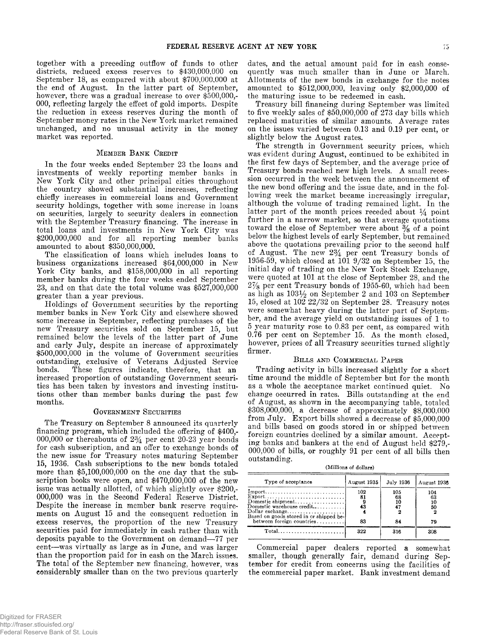together with a preceding outflow of funds to other districts, reduced excess reserves to  $$430,000,000$  on September 18, as compared with about  $$700,000,000$  at the end of August. In the latter part of September, however, there was a gradual increase to over \$500,000,-000, reflecting largely the effect of gold imports. Despite the reduction in excess reserves during the month of September money rates in the New York market remained unchanged, and no unusual activity in the money market was reported.

#### MEMBER BANK CREDIT

In the four weeks ended September 23 the loans and investments of weekly reporting member banks in New York City and other principal cities throughout the country showed substantial increases, reflecting chiefly increases in commercial loans and Government security holdings, together with some increase in loans on securities, largely to security dealers in connection with the September Treasury financing. The increase in total loans and investments in New York City was \$200,000,000 and for all reporting member banks amounted to about \$350,000,000.

The classification of loans which includes loans to business organizations increased \$64,000,000 in New York City banks, and  $$158,000,000$  in all reporting member banks during the four weeks ended September 23, and on that date the total volume was  $$527,000,000$ greater than a year previous.

Holdings of Government securities by the reporting member banks in New York City and elsewhere showed some increase in September, reflecting purchases of the new Treasury securities sold on September 15, but remained below the levels of the latter part of June and early July, despite an increase of approximately \$500,000,000 in the volume of Government securities outstanding, exclusive of Veterans Adjusted Service bonds. These figures indicate, therefore, that an increased proportion of outstanding Government securities has been taken by investors and investing institutions other than member banks during the past few months.

#### GOVERNMENT SECURITIES

The Treasury on September 8 announced its quarterly financing program, which included the offering of \$400,-000,000 or thereabouts of  $2\frac{3}{4}$  per cent 20-23 year bonds for cash subscription, and an offer to exchange bonds of the new issue for Treasury notes maturing September 15, 1936. Cash subscriptions to the new bonds totaled more than  $$5,100,000,000$  on the one day that the subscription books were open, and  $$470,000,000$  of the new issue was actually allotted, of which slightly over \$200,-000,000 was in the Second Federal Reserve District. Despite the increase in member bank reserve requirements on August 15 and the consequent reduction in excess reserves, the proportion of the new Treasury securities paid for immediately in eash rather than with deposits payable to the Government on demand—77 per cent—was virtually as large as in June, and was larger than the proportion paid for in cash on the March issues. The total of the September new financing, however, was considerably smaller than on the two previous quarterly

dates, and the actual amount paid for in cash consequently was much smaller than in June or March. Allotments of the new bonds in exchange for the notes amounted to \$512,000,000, leaving only \$2,000,000 of the maturing issue to be redeemed in cash.

Treasury bill financing during September was limited to five weekly sales of  $$50,000,000$  of 273 day bills which replaced maturities of similar amounts. Average rates on the issues varied between 0.13 and 0.19 per cent, or slightly below the August rates.

The strength in Government security prices, which was evident during August, continued to be exhibited in the first few days of September, and the average price of Treasury bonds reached new high levels. A small recession occurred in the week between the announcement of the new bond offering and the issue date, and in the following week the market became increasingly irregular, although the volume of trading remained light. In the latter part of the month prices receded about  $\frac{1}{4}$  point further in a narrow market, so that average quotations toward the close of September were about  $\frac{3}{8}$  of a point below the highest levels of early September, but remained above the quotations prevailing prior to the second half of August. The new  $2\frac{3}{4}$  per cent Treasury bonds of 1956-59, which closed at 101 9/32 on September 15, the initial day of trading on the New York Stock Exchange, were quoted at 101 at the close of September 28, and the  $2\frac{7}{8}$  per cent Treasury bonds of 1955-60, which had been as high as  $103\frac{1}{2}$  on September 2 and 103 on September 15, closed at 102  $22/32$  on September 28. Treasury notes were somewhat heavy during the latter part of September, and the average yield on outstanding issues of 1 to 5 year maturity rose to 0.83 per cent, as compared with 0.76 per cent on September 15. As the month closed, however, prices of all Treasury securities turned slightly firmer.

#### BILLS AND COMMERCIAL PAPER

Trading activity in bills increased slightly for a short time around the middle of September but for the month as a whole the acceptance market continued quiet. No change occurred in rates. Bills outstanding at the end of August, as shown in the accompanying table, totaled \$308,000,000, a decrease of approximately \$8,000,000 from July. Export bills showed a decrease of \$5,000,000 and bills based on goods stored in or shipped between foreign countries declined by a similar amount. Accepting banks and bankers at the end of August held \$279,- $000,000$  of bills, or roughly  $91$  per cent of all bills then outstanding.

| (Millions of dollars) |  |  |  |
|-----------------------|--|--|--|
|-----------------------|--|--|--|

| Type of acceptance                                | August 1935 | July 1936 | August 1936 |
|---------------------------------------------------|-------------|-----------|-------------|
|                                                   | 102<br>81   | 105<br>68 | 104<br>63   |
| Domestic shipment<br>Domestic warehouse credit    | - 9<br>43   | 10<br>47  | 10<br>50    |
|                                                   |             |           |             |
| between foreign countries                         | 83          | 84        | 79          |
| $Total \dots \dots \dots \dots \dots \dots \dots$ | 322         | 316       | 308         |

Commercial paper dealers reported a somewhat smaller, though generally fair, demand during September for credit from concerns using the facilities of the commercial paper market. Bank investment demand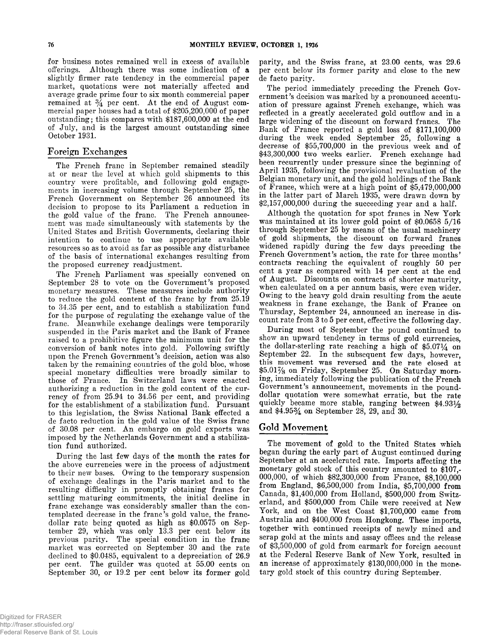for business notes remained well in excess of available offerings. Although there was some indication of a slightly firmer rate tendency in the commercial paper market, quotations were not materially affected and average grade prime four to six month commercial paper remained at  $\frac{3}{4}$  per cent. At the end of August commercial paper houses had a total of \$205,200,000 of paper outstanding; this compares with \$187,600,000 at the end of July, and is the largest amount outstanding since October 1931.

# Foreign Exchanges

The French franc in September remained steadily at or near the level at which gold shipments to this country were profitable, and following gold engagements in increasing volume through September 25, the French Government on September 26 announced its decision to propose to its Parliament a reduction in the gold value of the franc. The French announcement was made simultaneously with statements by the United States and British Governments, declaring their intention to continue to use appropriate available resources so as to avoid as far as possible any disturbance of the basis of international exchanges resulting from the proposed currency readjustment.

The French Parliament was specially convened on September 28 to vote on the Government's proposed monetary measures. These measures include authority to reduce the gold content of the france by from 25.19 to 34.35 per cent, and to establish a stabilization fund for the purpose of regulating the exchange value of the frane. Meanwhile exchange dealings were temporarily suspended in the Paris market and the Bank of France raised to a prohibitive figure the minimum unit for the conversion of bank notes into gold. Following swiftly upon the French Government's decision, action was also taken by the remaining countries of the gold bloc, whose special monetary difficulties were broadly similar to those of France. In Switzerland laws were enacted authorizing a reduction in the gold content of the currency of from  $25.94$  to  $34.56$  per cent, and providing for the establishment of a stabilization fund. Pursuant to this legislation, the Swiss National Bank effected a de facto reduction in the gold value of the Swiss franc of 30.08 per cent. An embargo on gold exports was imposed by the Netherlands Government and a stabilization fund authorized.

During the last few days of the month the rates for the above currencies were in the process of adjustment to their new bases. Owing to the temporary suspension of exchange dealings in the Paris market and to the resulting difficulty in promptly obtaining francs for settling maturing commitments, the initial decline in franc exchange was considerably smaller than the contemplated decrease in the franc's gold value, the francdollar rate being quoted as high as \$0.0575 on September 29, which was only  $13.3$  per cent below its previous parity. The special condition in the franc market was corrected on September 30 and the rate declined to \$0.0485, equivalent to a depreciation of 26.9 per cent. The guilder was quoted at 55.00 cents on September 30, or  $19.2$  per cent below its former gold

parity, and the Swiss franc, at 23.00 cents, was 29.6 per cent below its former parity and close to the new de facto parity.

The period immediately preceding the French Government's decision was marked by a pronounced accentuation of pressure against French exchange, which was reflected in a greatly accelerated gold outflow and in a large widening of the discount on forward francs. The Bank of France reported a gold loss of \$171,100,000 during the week ended September 25, following a decrease of  $$55,700,000$  in the previous week and of \$43,300,000 two weeks earlier. French exchange had been recurrently under pressure since the beginning of April 1935, following the provisional revaluation of the Belgian monetary unit, and the gold holdings of the Bank of France, which were at a high point of  $$5,479,000,000$ in the latter part of March 1935, were drawn down by  $$2,157,000,000$  during the succeeding year and a half.

Although the quotation for spot francs in New York was maintained at its lower gold point of  $$0.06585/16$ through September 25 by means of the usual machinery of gold shipments, the discount on forward francs widened rapidly during the few days preceding the French Government's action, the rate for three months' contracts reaching the equivalent of roughly 50 per cent a year as compared with 14 per cent at the end of August. Discounts on contracts of shorter maturity, when calculated on a per annum basis, were even wider. Owing to the heavy gold drain resulting from the acute weakness in franc exchange, the Bank of France on Thursday, September 24, announced an increase in discount rate from 3 to 5 per cent, effective the following day.

During most of September the pound continued to show an upward tendency in terms of gold currencies, the dollar-sterling rate reaching a high of  $$5.07\frac{1}{4}$  on September 22. In the subsequent few days, however, this movement was reversed and the rate closed at \$5.01% on Friday, September 25. On Saturday morning, immediately following the publication of the French Government's announcement, movements in the pounddollar quotation were somewhat erratic, but the rate quiekly became more stable, ranging between  $$4.93\%$ and  $$4.95\%$  on September 28, 29, and 30

# Gold Movement

The movement of gold to the United States which began during the early part of August continued during September at an accelerated rate. Imports affecting the monetary gold stock of this country amounted to \$107,-000,000, of which \$82,300,000 from France, \$8,100,000 from England,  $$6,500,000$  from India,  $$5,700,000$  from Canada, \$1,400,000 from Holland, \$500,000 from Switzerland, and \$500,000 from Chile were received at New York, and on the West Coast \$1,700,000 came from Australia and \$400,000 from Hongkong. These imports, together with continued receipts of newly mined and scrap gold at the mints and assay offices and the release of \$3,500,000 of gold from earmark for foreign account at the Federal Reserve Bank of New York, resulted in an increase of approximately \$130,000,000 in the monetary gold stock of this country during September.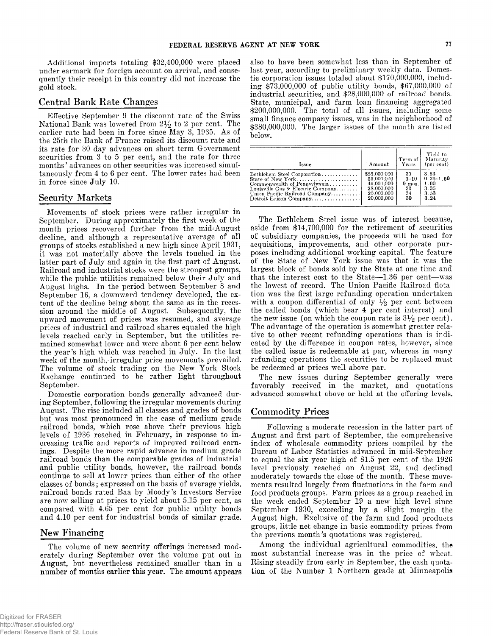Additional imports totaling \$32,400,000 were placed under earmark for foreign account on arrival, and consequently their receipt in this country did not increase the gold stock.

# Central Bank Rate Changes

Effective September 9 the discount rate of the Swiss National Bank was lowered from  $2\frac{1}{2}$  to 2 per cent. The earlier rate had been in force since May 3, 1935. As of the 25th the Bank of France raised its discount rate and its rate for 30 day advances on short term Government securities from 3 to 5 per cent, and the rate for three months' advances on other securities was increased simultaneously from 4 to 6 per cent. The lower rates had been in force since July 10.

## Security Markets

Movements of stock prices were rather irregular in September. During approximately the first week of the month prices recovered further from the mid-August decline, and although a representative average of all groups of stocks established a new high since April 1931, it was not materially above the levels touched in the latter part of July and again in the first part of August. Railroad and industrial stocks were the strongest groups, while the public utilities remained below their July and August highs. In the period between September 8 and September 16, a downward tendency developed, the extent of the decline being about the same as in the recession around the middle of August. Subsequently, the upward movement of prices was resumed, and average prices of industrial and railroad shares equaled the high levels reached early in September, but the utilities remained somewhat lower and were about 6 per cent below the year's high which was reached in July. In the last week of the month, irregular price movements prevailed. The volume of stock trading on the New York Stock Exchange continued to be rather light throughout September.

Domestic corporation bonds generally advanced during September, following the irregular movements during August. The rise included all classes and grades of bonds but was most pronounced in the case of medium grade railroad bonds, which rose above their previous high levels of 1936 reached in February, in response to increasing traffic and reports of improved railroad earnings. Despite the more rapid advance in medium grade railroad bonds than the comparable grades of industrial and public utility bonds, however, the railroad bonds continue to sell at lower prices than either of the other classes of bonds; expressed on the basis of average yields, railroad bonds rated Baa by Moody's Investors Service are now selling at prices to yield about 5.15 per cent, as compared with  $4.65$  per cent for public utility bonds and 4.10 per cent for industrial bonds of similar grade.

# New Financing

The volume of new security offerings increased moderately during September over the volume put out in August, but nevertheless remained smaller than in a number of months earlier this year. The amount appears

also to have been somewhat less than in September of last year, according to preliminary weekly data. Domestic corporation issues totaled about \$170,000,000, including \$73,000,000 of public utility bonds, \$67,000,000 of industrial securities, and \$28,000,000 of railroad bonds. State, municipal, and farm loan financing aggregated  $$200,000,000$ . The total of all issues, including some small finance company issues, was in the neighborhood of  $$380,000,000$ . The larger issues of the month are listed below.

| Issue                             | Amount       | Term of<br>Years | Yield to<br>Maturity<br>(per cent) |
|-----------------------------------|--------------|------------------|------------------------------------|
| Bethlehem Steel Corporation       | \$55,000 000 | 30               | 3.83                               |
| State of New York                 | 55.000.000   | $1 - 10$         | $0, 25 - 1, 50$                    |
| Commonwealth of Pennsylvania      | 45.000.000   | $9 \text{ mos.}$ | 1.00                               |
| Louisville Gas & Electric Company | 28,000,000   | 30               | 3.35                               |
| Union Pacific Railroad Company    | 20,000.000   | 34               | 3.53                               |
| Detroit Edison Company            | 20.000.000   | 30               | 3.24                               |

The Bethlehem Steel issue was of interest because, aside from  $$14,700,000$  for the retirement of securities of subsidiary companies, the proceeds will be used for acquisitions, improvements, and other corporate purposes including additional working capital. The feature of the State of New York issue was that it was the largest block of bonds sold by the State at one time and that the interest cost to the State- $-1.36$  per cent-was the lowest of record. The Union Pacific Railroad flotation was the first large refunding operation undertaken with a coupon differential of only  $\frac{1}{2}$  per cent between the called bonds (which bear 4 per cent interest) and the new issue (on which the coupon rate is  $3\frac{1}{2}$  per cent). The advantage of the operation is somewhat greater relative to other recent refunding operations than is indicated by the difference in coupon rates, however, since the called issue is redeemable at par, whereas in many refunding operations the securities to be replaced must be redeemed at prices well above par.

The new issues during September generally were favorably received in the market, and quotations advanced somewhat above or held at the offering levels.

## Commodity Prices

Following a moderate recession in the latter part of August and first part of September, the comprehensive index of wholesale commodity prices compiled by the Bureau of Labor Statistics advanced in mid-September to equal the six year high of  $81.5$  per cent of the  $1926$ level previously reached on August 22, and declined moderately towards the close of the month. These movements resulted largely from fluctuations in the farm and food products groups. Farm prices as a group reached in the week ended September 19 a new high level since September 1930, exceeding by a slight margin the August high. Exclusive of the farm and food products groups, little net change in basic commodity prices from the previous month's quotations was registered.

Among the individual agricultural commodities, the most substantial increase was in the price of wheat. Rising steadily from early in September, the cash quotation of the Number 1 Northern grade at Minneapolis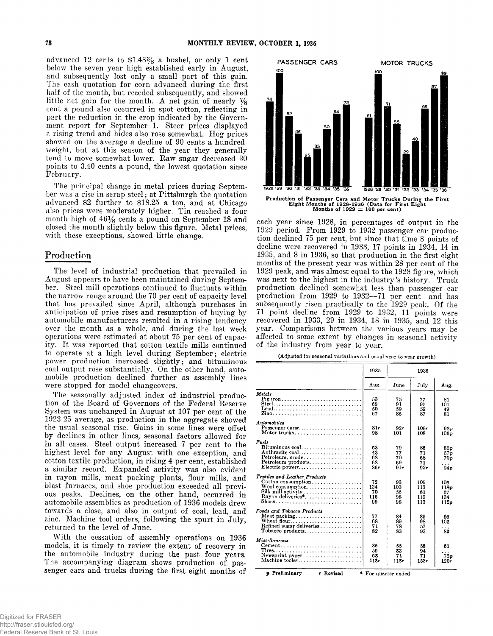advanced 12 cents to  $$1.48\%$  a bushel, or only 1 cent below the seven year high established early in August, and subsequently lost only a small part of this gain. The cash quotation for corn advanced during the first half of the month, but receded subsequently, and showed little net gain for the month. A net gain of nearly  $\frac{7}{8}$ cent a pound also occurred in spot cotton, reflecting in part the reduction in the crop indicated by the Government report for September 1. Steer prices displayed a rising trend and hides also rose somewhat. Hog prices showed on the average a decline of 90 cents a hundredweight, but at this season of the year they generally tend to move somewhat lower. Raw sugar decreased 30 points to 3.40 cents a pound, the lowest quotation since February.

The principal change in metal prices during September was a rise in scrap steel; at Pittsburgh the quotation advanced \$2 further to \$18.25 a ton, and at Chicago also prices were moderately higher. Tin reached a four month high of  $46\frac{1}{8}$  cents a pound on September 18 and closed the month slightly below this figure. Metal prices, with these exceptions, showed little change.

## Production

The level of industrial production that prevailed in August appears to have been maintained during September. Steel mill operations continued to fluctuate within the narrow range around the 70 per cent of capacity level that has prevailed since April, although purchases in anticipation of price rises and resumption of buying by automobile manufacturers resulted in a rising tendency over the month as a whole, and during the last week operations were estimated at about 75 per cent of capacity. It was reported that cotton textile mills continued to operate at a high level during September; electric power production increased slightly; and bituminous coal output rose substantially. On the other hand, automobile production declined further as assembly lines were stopped for model changeovers.

The seasonally adjusted index of industrial production of the Board of Governors of the Federal Reserve System was unchanged in August at 107 per cent of the 1923-25 average, as production in the aggregate showed the usual seasonal rise. Gains in some lines were offset by declines in other lines, seasonal factors allowed for in all cases. Steel output increased 7 per cent to the highest level for any August with one exception, and cotton textile production, in rising 4 per cent, established a similar record. Expanded activity was also evident in rayon mills, meat packing plants, flour mills, and blast furnaces, and shoe production exceeded all previous peaks. Declines, on the other hand, occurred in automobile assemblies as production of 1936 models drew towards a close, and also in output of coal, lead, and zine. Machine tool orders, following the spurt in July, returned to the level of June.

With the cessation of assembly operations on 1936 models, it is timely to review the extent of recovery in the automobile industry during the past four years. The accompanying diagram shows production of passenger cars and trucks during the first eight months of



each year since 1928, in percentages of output in the 1929 period. From 1929 to 1932 passenger car production declined 75 per cent, but since that time 8 points of decline were recovered in 1933, 17 points in 1934, 14 in 1935, and 8 in 1936, so that production in the first eight months of the present year was within 28 per cent of the 1929 peak, and was almost equal to the 1928 figure, which was next to the highest in the industry's history. Truck production declined somewhat less than passenger car production from 1929 to 1932-71 per cent-and has subsequently risen practically to the 1929 peak. Of the  $71$  point decline from 1929 to 1932,  $11$  points were recovered in 1933, 29 in 1934, 18 in 1935, and 12 this year. Comparisons between the various years may be affected to some extent by changes in seasonal activity of the industry from year to year.

(Adjusted for seasonal variations and usual year to year growth)

|                                                                                                                                   | 1935                         | 1936                        |                                |                                                                   |
|-----------------------------------------------------------------------------------------------------------------------------------|------------------------------|-----------------------------|--------------------------------|-------------------------------------------------------------------|
|                                                                                                                                   | Aug.                         | June                        | July                           | Aug.                                                              |
| Metals<br>Pig iron<br>Lead<br>Zine                                                                                                | 53<br>69<br>50<br>67         | 75<br>91<br>59<br>86        | 77<br>95<br>59<br>87           | 81<br>101<br>49<br>81                                             |
| Automobiles<br>Passenger cars $r_1, \ldots, \ldots, \ldots, \ldots, \ldots$                                                       | 81r<br>98                    | 92r<br>101                  | 106r<br>108                    | 98p<br>106 p                                                      |
| Fuels<br>$Bituminous coal. \ldots \ldots \ldots \ldots \ldots \ldots$<br>Anthracite coal<br>Petroleum.crude<br>Petroleum products | 63<br>43<br>68<br>68<br>86r  | 79<br>77<br>70<br>69<br>91r | 86<br>71<br>68<br>71<br>92r    | 82p<br>57 <sub>p</sub><br>70 <sub>p</sub><br>.<br>94 <sub>p</sub> |
| Textiles and Leather Products<br>Cotton consumption<br>Silk mill activity<br>Rayon deliveries <sup>*</sup><br>Shoes               | 72<br>134<br>70<br>116<br>99 | 93<br>103<br>56<br>98<br>98 | 105<br>113<br>61<br>119<br>113 | 106<br>118p<br>67<br>134<br>112p                                  |
| Foods and Tobacco Products<br>Meat packing<br>Wheat flour<br>Refined sugar deliveries<br>Tobacco products                         | 77<br>68<br>71<br>82         | 84<br>89<br>78<br>83        | 89<br>98<br>57<br>93           | 96<br>102<br>.<br>89                                              |
| Miscellaneous<br>$Cement, \ldots, \ldots, \ldots, \ldots, \ldots, \ldots, \ldots, \ldots$<br>Machine toolsr                       | 36<br>59<br>68<br>118r       | 55<br>83<br>74<br>118r      | 58<br>94<br>71<br>153r         | 61<br>72p<br>120r                                                 |
| <i>v</i> Preliminarv<br>r Revised                                                                                                 | * For quarter ended          |                             |                                |                                                                   |

Digitized for FRASER http://fraser.stlouisfed.org/ Federal Reserve Bank of St. Louis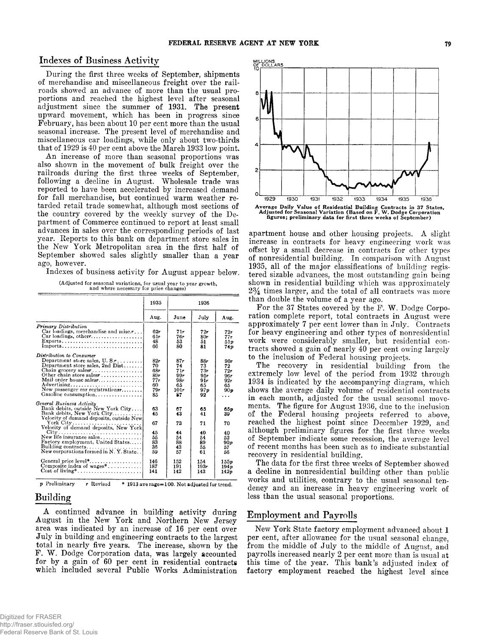## Indexes of Business Activity

During the first three weeks of September, shipments of merchandise and miscellaneous freight over the railroads showed an advance of more than the usual proportions and reached the highest level after seasonal adjustment since the summer of 1931. The present upward movement, which has been in progress since February, has been about 10 per cent more than the usual seasonal increase. The present level of merchandise and miscellaneous car loadings, while only about two-thirds that of 1929 is 40 per cent above the March 1933 low point.

An increase of more than seasonal proportions was also shown in the movement of bulk freight over the railroads during the first three weeks of September, following a decline in August. Wholesale trade was reported to have been accelerated by increased demand for fall merchandise, but continued warm weather retarded retail trade somewhat, although most sections of the country covered by the weekly survey of the Department of Commerce continued to report at least small advances in sales over the corresponding periods of last year. Reports to this bank on department store sales in the New York Metropolitan area in the first half of September showed sales slightly smaller than a year ago, however.

Indexes of business activity for August appear below.

(Adjusted for seasonal variations, for usual year to year growth, and where necessary for price changes)

|                                                                                                                                                                                                                                                                                                                                   | 1935                                                              |                                                                   | 1936                                                               |                                                                         |
|-----------------------------------------------------------------------------------------------------------------------------------------------------------------------------------------------------------------------------------------------------------------------------------------------------------------------------------|-------------------------------------------------------------------|-------------------------------------------------------------------|--------------------------------------------------------------------|-------------------------------------------------------------------------|
|                                                                                                                                                                                                                                                                                                                                   | Aug.                                                              | June                                                              | July                                                               | Aug.                                                                    |
| <b>Primary Distribution</b><br>Car loadings, merchandise and misc. $r_{\dots}$ .<br>Car loadings, otherr<br>$Exports$<br>$Imports$                                                                                                                                                                                                | 62r<br>61r<br>48<br>66                                            | 71r<br>76r<br>53<br>80                                            | 72r<br>80r<br>51<br>81                                             | $72 -$<br>77r<br>51p<br><b>74p</b>                                      |
| Distribution to Consumer<br>Department store sales, $U.S.r. \ldots \ldots$<br>Department store sales, 2nd Dist<br>Chain groeery salesr<br>Other chain store sales $\mathbf{r}$ ,<br>Mail order house salesr<br>Advertising<br>New passenger car registrationsr<br>Gasoline consumption                                            | 82r<br>70<br>68-<br>$89-$<br>77r<br>60<br>79r<br>85               | 87r<br>74<br>71r<br>99r<br>98r<br>65<br>101r<br>87                | 88r<br>73<br>73r<br>95r<br>91r<br>65<br>97p<br>92                  | 90r<br>72<br>72r<br>96r<br>92r<br>65<br>90p<br>$\cdots$                 |
| General Business Activity<br>Bank debits, outside New York City<br>Bank debits, New York City<br>Velocity of demand deposits, outside New<br>New life insurance sales<br>Factory employment, United States<br>Building contracts<br>New corporations formed in N.Y. State<br>General price level*<br>Composite index of $wages^*$ | 63<br>45<br>67<br>45<br>55<br>83<br>36<br>59<br>146<br>187<br>141 | 67<br>43<br>73<br>44<br>54<br>88<br>43<br>57<br>152<br>191<br>142 | 65<br>41<br>71<br>40<br>54<br>89<br>55<br>61<br>154<br>193r<br>143 | 65p<br>39<br>70<br>40<br>52<br>90 p<br>57<br>56<br>155p<br>194p<br>142p |

*p* Preliminary  $r$  Revised  $*$  1913 ave rage= 100. Not adjusted for trend.

# Building

A continued advance in building activity during August in the New York and Northern New Jersey area was indicated by an increase of 16 per cent over July in building and engineering contracts to the largest total in nearly five years. The increase, shown by the F. W. Dodge Corporation data, was largely accounted for by a gain of 60 per cent in residential contracts which included several Public Works Administration



apartment house and other housing projects. A slight increase in contracts for heavy engineering work was offset by a small decrease in contracts for other types of nonresidential building. In comparison with August 1935, all of the major classifications of building registered sizable advances, the most outstanding gain being shown in residential building which was approximately  $2\frac{3}{4}$  times larger, and the total of all contracts was more than double the volume of a year ago.

For the 37 States covered by the F. W. Dodge Corporation complete report, total contracts in August were approximately 7 per cent lower than in July. Contracts for heavy engineering and other types of nonresidential work were considerably smaller, but residential contracts showed a gain of nearly 40 per cent owing largely to the inclusion of Federal housing projects.

The recovery in residential building from the extremely low level of the period from 1932 through 1934 is indicated by the accompanying diagram, which shows the average daily volume of residential contracts in each month, adjusted for the usual seasonal movements. The figure for August 1936, due to the inclusion of the Federal housing projects referred to above, reached the highest point since December 1929, and although preliminary figures for the first three weeks of September indicate some recession, the average level of recent months has been such as to indicate substantial recovery in residential building.

The data for the first three weeks of September showed a decline in nonresidential building other than public works and utilities, contrary to the usual seasonal tendency and an increase in heavy engineering work of less than the usual seasonal proportions.

## **Employment and Payrolls**

New York State factory employment advanced about 1 per cent, after allowance for the usual seasonal change. from the middle of July to the middle of August, and payrolls increased nearly 2 per cent more than is usual at this time of the year. This bank's adjusted index of factory employment reached the highest level since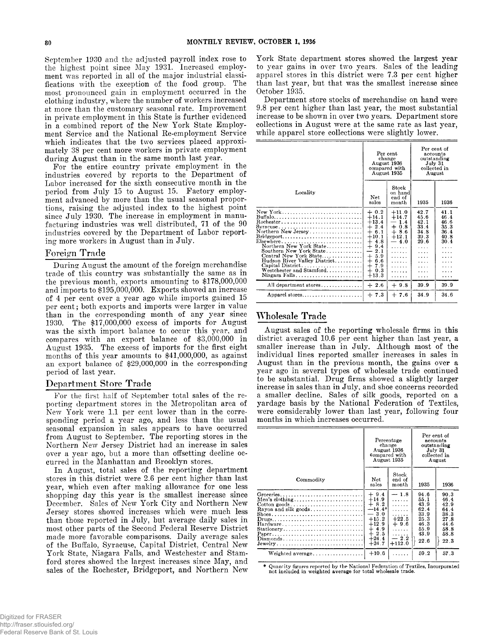September 1930 and the adjusted payroll index rose to the highest point since May 1931. Increased employment was reported in all of the major industrial classifications with the exception of the food group. The most pronounced gain in employment occurred in the clothing industry, where the number of workers increased at more than the customary seasonal rate. Improvement in private employment in this State is further evidenced in a combined report of the New York State Employment Service and the National Re-employment Service which indicates that the two services placed approximately 38 per cent more workers in private employment during August than in the same month last year.

For the entire country private employment in the industries covered by reports to the Department of Labor increased for the sixth consecutive month in the period from July 15 to August 15. Factory employment advanced by more than the usual seasonal proportions, raising the adjusted index to the highest point since July 1930. The increase in employment in manufacturing industries was well distributed, 71 of the 90 industries covered by the Department of Labor reporting more workers in August than in July.

## Foreign Trade

During August the amount of the foreign merchandise trade of this country was substantially the same as in the previous month, exports amounting to \$178,000,000 and imports to \$195,000,000. Exports showed an increase of 4 per cent over a year ago while imports gained 15 per cent; both exports and imports were larger in value than in the corresponding month of any year since 1930. The  $$17,000,000$  excess of imports for August was the sixth import balance to occur this year, and compares with an export balance of  $$3,000,000$  in August 1935. The excess of imports for the first eight months of this year amounts to \$41,000,000, as against an export balance of \$29,000,000 in the corresponding period of last year.

## Department Store Trade

For the first half of September total sales of the reporting department stores in the Metropolitan area of New York were 1.1 per cent lower than in the corresponding period a year ago, and less than the usual seasonal expansion in sales appears to have occurred from August to September. The reporting stores in the Northern New Jersey District had an increase in sales over a year ago, but a more than offsetting decline occurred in the Manhattan and Brooklyn stores.

In August, total sales of the reporting department stores in this district were 2.6 per cent higher than last year, which even after making allowance for one less shopping day this year is the smallest increase since December. Sales of New York City and Northern New Jersey stores showed increases which were much less than those reported in July, but average daily sales in most other parts of the Second Federal Reserve District made more favorable comparisons. Daily average sales of the Buffalo, Syracuse, Capital District, Central New York State, Niagara Falls, and Westchester and Stamford stores showed the largest increases since May, and sales of the Rochester, Bridgeport, and Northern New York State department stores showed the largest year to year gains in over two years. Sales of the leading apparel stores in this district were 7.3 per cent higher than last year, but that was the smallest increase since October 1935.

Department store stocks of merchandise on hand were 9.8 per cent higher than last year, the most substantial increase to be shown in over two years. Department store collections in August were at the same rate as last year, while apparel store collections were slightly lower.

|                                                                                                                                                                                                                                                                                                                                                                       | Per cent<br>change<br>August 1936<br>compared with<br>August 1935                                                                                                               |                                                                                                 | Per cent of<br>accounts<br>outstanding<br>July 31<br>collected in<br>August                    |                                                           |
|-----------------------------------------------------------------------------------------------------------------------------------------------------------------------------------------------------------------------------------------------------------------------------------------------------------------------------------------------------------------------|---------------------------------------------------------------------------------------------------------------------------------------------------------------------------------|-------------------------------------------------------------------------------------------------|------------------------------------------------------------------------------------------------|-----------------------------------------------------------|
| Locality                                                                                                                                                                                                                                                                                                                                                              | Net<br>sales                                                                                                                                                                    | Stock<br>on hand<br>end of<br>$\n  month\n$                                                     | 1935                                                                                           | 1936                                                      |
| New York<br>$Buffalo$<br>$Syracuse \ldots \ldots \ldots \ldots \ldots \ldots \ldots \ldots$<br>Northern New Jersey<br>$Bridgeport. \ldots \ldots \ldots \ldots \ldots \ldots \ldots \ldots$<br>Elsewhere<br>Northern New York State<br>Southern New York State<br>Central New York State<br>Hudson River Valley District<br>Westchester and Stamford<br>Niagara Falls | $+0.2$<br>$+14.1$<br>$+13.4$<br>$+2.4$<br>$^{+}$<br>6.1<br>$+10.1$<br>$+4.8$<br>$+$<br>9.4<br>2.1<br>-<br>5.9<br>$^{+}$<br>$+$<br>6.6<br>$^{+}$<br>7.9<br>0.3<br>$+$<br>$+13.3$ | $+11.0$<br>$+14.7$<br>1.4<br>$+0.8$<br>$+8.6$<br>$+12.1$<br>$-40$<br>.<br>.<br>.<br>.<br>.<br>. | 42.7<br>45.6<br>42.1<br>33.4<br>34.8<br>39.3<br>29.6<br>1.1.1<br>1.1.1<br>.<br>1.1.1<br>.<br>. | 41.1<br>46.4<br>46.6<br>35.3<br>36.4<br>40.8<br>30.4<br>. |
| All department stores                                                                                                                                                                                                                                                                                                                                                 | $+2.6$                                                                                                                                                                          | $+9.8$                                                                                          | 39.9                                                                                           | 39.9                                                      |
| Apparel stores                                                                                                                                                                                                                                                                                                                                                        | $+7.3$                                                                                                                                                                          | $+7.6$                                                                                          | 34.9                                                                                           | 34.6                                                      |

# Wholesale Trade

August sales of the reporting wholesale firms in this district averaged 10.6 per cent higher than last year, a smaller increase than in July. Although most of the individual lines reported smaller increases in sales in August than in the previous month, the gains over a year ago in several types of wholesale trade continued to be substantial. Drug firms showed a slightly larger increase in sales than in July, and shoe concerns recorded a smaller decline. Sales of silk goods, reported on a y ardage basis by the National Federation of Textiles, were considerably lower than last year, following four months in which increases occurred.

|                                                                                                                                 | Percentage<br>change<br>August 1936<br>compared with<br>August 1935                                               |                                                                            | Per cent of<br>accounts<br>outstanding<br>July 31<br>collected in<br>August  |                                                                              |
|---------------------------------------------------------------------------------------------------------------------------------|-------------------------------------------------------------------------------------------------------------------|----------------------------------------------------------------------------|------------------------------------------------------------------------------|------------------------------------------------------------------------------|
| Commodity                                                                                                                       | Net<br>sales                                                                                                      | Stock<br>end of<br>$\n  month\n$                                           | 1935                                                                         | 1936                                                                         |
| Men's clothing <br>$\text{Cotton goods.} \dots \dots \dots \dots \dots \dots \dots \dots$<br>Rayon and silk goods<br>Stationery | $+9.4$<br>$+14.9$<br>$+8.2$<br>$-14.4*$<br>$-3.0$<br>$+15.2$<br>$+12.9$<br>$+4.9$<br>$+2.5$<br>$+24.4$<br>$+24.7$ | $-1.8$<br>.<br>.<br>.<br>$+22.5$<br>$+9.6$<br>.<br>.<br>$-2.2$<br>$+112.0$ | 94.6<br>55.1<br>43.9<br>62.4<br>33.9<br>25.3<br>46.3<br>55.9<br>43.9<br>22.6 | 90.3<br>46.4<br>42.9<br>64.4<br>38.3<br>27.8<br>44.6<br>58.8<br>58.8<br>22.3 |
| Weighted average                                                                                                                | $+10.6$                                                                                                           | .                                                                          | 59.2                                                                         | 57.3                                                                         |

Quantity figures reported by the National Federation of Textiles, Incorporated not included in weighted average for total wholesale trade.